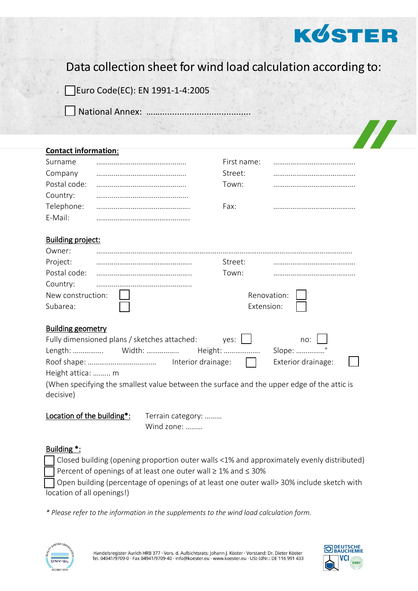

Data collection sheet for wind load calculation according to:

Euro Code(EC): EN 1991-1-4:2005

National Annex: ……….

| <b>Contact information:</b> |  |             |  |  |  |  |  |  |
|-----------------------------|--|-------------|--|--|--|--|--|--|
| Surname                     |  | First name: |  |  |  |  |  |  |
| Company                     |  | Street:     |  |  |  |  |  |  |
| Postal code:                |  | Town:       |  |  |  |  |  |  |
| Country:                    |  |             |  |  |  |  |  |  |
| Telephone:                  |  | Fax:        |  |  |  |  |  |  |
| E-Mail:                     |  |             |  |  |  |  |  |  |
|                             |  |             |  |  |  |  |  |  |
| <b>Building project:</b>    |  |             |  |  |  |  |  |  |
| Owner:                      |  |             |  |  |  |  |  |  |
| Project:                    |  | Street:     |  |  |  |  |  |  |
| Postal code:                |  | Town:       |  |  |  |  |  |  |
| Country:                    |  |             |  |  |  |  |  |  |
| New construction:           |  | Renovation: |  |  |  |  |  |  |
| Subarea:                    |  | Extension:  |  |  |  |  |  |  |
|                             |  |             |  |  |  |  |  |  |
| <b>Building geometry</b>    |  |             |  |  |  |  |  |  |
|                             |  |             |  |  |  |  |  |  |

| Fully dimensioned plans / sketches attached:                                                            | ves: 1 1                | $\overline{no:}$   |  |
|---------------------------------------------------------------------------------------------------------|-------------------------|--------------------|--|
|                                                                                                         | Height:                 | Slope: °           |  |
|                                                                                                         | Interior drainage: $\ $ | Exterior drainage: |  |
| Height attica:  m                                                                                       |                         |                    |  |
| (When specifying the smallest value between the surface and the upper edge of the attic is<br>decisive) |                         |                    |  |

Location of the building\*: Terrain category: .........

Wind zone: ………

## Building \*:

Closed building (opening proportion outer walls <1% and approximately evenly distributed) Percent of openings of at least one outer wall ≥ 1% and ≤ 30%

Open building (percentage of openings of at least one outer wall> 30% include sketch with location of all openings!)

*\* Please refer to the information in the supplements to the wind load calculation form.*